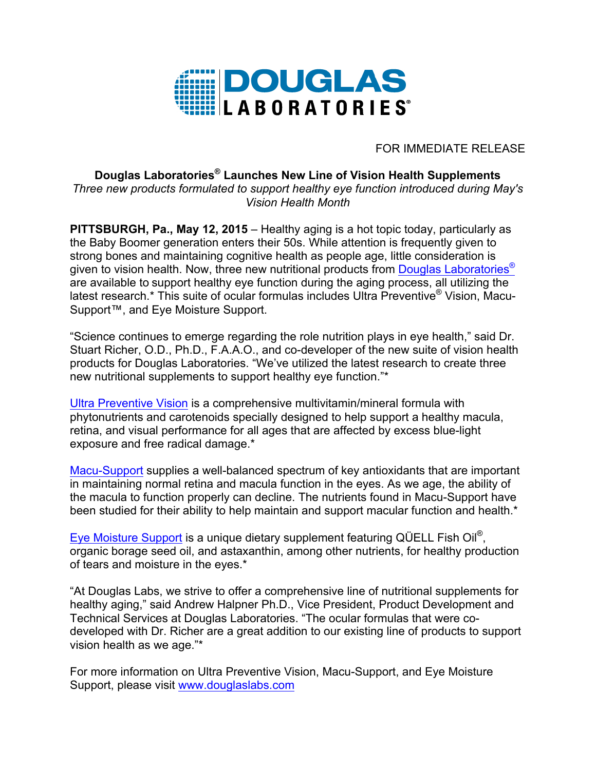

FOR IMMEDIATE RELEASE

## **Douglas Laboratories® Launches New Line of Vision Health Supplements**  *Three new products formulated to support healthy eye function introduced during May's Vision Health Month*

**PITTSBURGH, Pa., May 12, 2015** – Healthy aging is a hot topic today, particularly as the Baby Boomer generation enters their 50s. While attention is frequently given to strong bones and maintaining cognitive health as people age, little consideration is given to vision health. Now, three new nutritional products from Douglas Laboratories<sup>®</sup> are available to support healthy eye function during the aging process, all utilizing the latest research.\* This suite of ocular formulas includes Ultra Preventive® Vision, Macu-Support™, and Eye Moisture Support.

"Science continues to emerge regarding the role nutrition plays in eye health," said Dr. Stuart Richer, O.D., Ph.D., F.A.A.O., and co-developer of the new suite of vision health products for Douglas Laboratories. "We've utilized the latest research to create three new nutritional supplements to support healthy eye function."\*

Ultra Preventive Vision is a comprehensive multivitamin/mineral formula with phytonutrients and carotenoids specially designed to help support a healthy macula, retina, and visual performance for all ages that are affected by excess blue-light exposure and free radical damage.\*

Macu-Support supplies a well-balanced spectrum of key antioxidants that are important in maintaining normal retina and macula function in the eyes. As we age, the ability of the macula to function properly can decline. The nutrients found in Macu-Support have been studied for their ability to help maintain and support macular function and health.\*

Eye Moisture Support is a unique dietary supplement featuring QÜELL Fish Oil®, organic borage seed oil, and astaxanthin, among other nutrients, for healthy production of tears and moisture in the eyes.\*

"At Douglas Labs, we strive to offer a comprehensive line of nutritional supplements for healthy aging," said Andrew Halpner Ph.D., Vice President, Product Development and Technical Services at Douglas Laboratories. "The ocular formulas that were codeveloped with Dr. Richer are a great addition to our existing line of products to support vision health as we age."\*

For more information on Ultra Preventive Vision, Macu-Support, and Eye Moisture Support, please visit www.douglaslabs.com